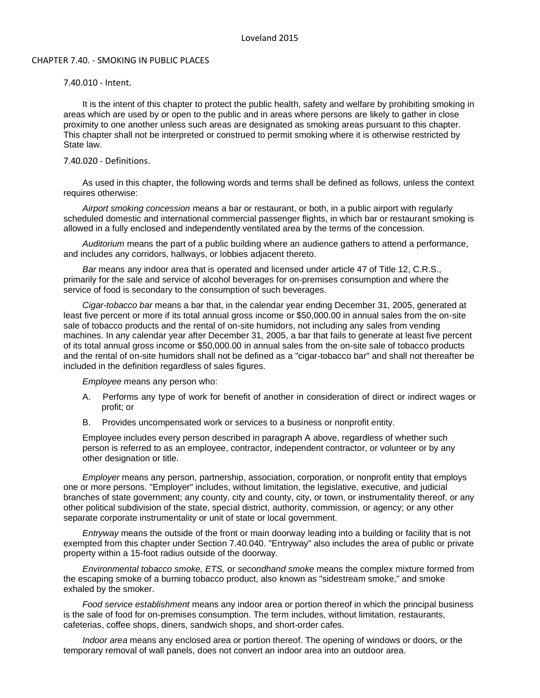## CHAPTER 7.40. - SMOKING IN PUBLIC PLACES

# 7.40.010 - Intent.

It is the intent of this chapter to protect the public health, safety and welfare by prohibiting smoking in areas which are used by or open to the public and in areas where persons are likely to gather in close proximity to one another unless such areas are designated as smoking areas pursuant to this chapter. This chapter shall not be interpreted or construed to permit smoking where it is otherwise restricted by State law.

### 7.40.020 - Definitions.

As used in this chapter, the following words and terms shall be defined as follows, unless the context requires otherwise:

*Airport smoking concession* means a bar or restaurant, or both, in a public airport with regularly scheduled domestic and international commercial passenger flights, in which bar or restaurant smoking is allowed in a fully enclosed and independently ventilated area by the terms of the concession.

*Auditorium* means the part of a public building where an audience gathers to attend a performance, and includes any corridors, hallways, or lobbies adjacent thereto.

*Bar* means any indoor area that is operated and licensed under article 47 of Title 12, C.R.S., primarily for the sale and service of alcohol beverages for on-premises consumption and where the service of food is secondary to the consumption of such beverages.

*Cigar-tobacco bar* means a bar that, in the calendar year ending December 31, 2005, generated at least five percent or more if its total annual gross income or \$50,000.00 in annual sales from the on-site sale of tobacco products and the rental of on-site humidors, not including any sales from vending machines. In any calendar year after December 31, 2005, a bar that fails to generate at least five percent of its total annual gross income or \$50,000.00 in annual sales from the on-site sale of tobacco products and the rental of on-site humidors shall not be defined as a "cigar-tobacco bar" and shall not thereafter be included in the definition regardless of sales figures.

*Employee* means any person who:

- A. Performs any type of work for benefit of another in consideration of direct or indirect wages or profit; or
- B. Provides uncompensated work or services to a business or nonprofit entity.

Employee includes every person described in paragraph A above, regardless of whether such person is referred to as an employee, contractor, independent contractor, or volunteer or by any other designation or title.

*Employer* means any person, partnership, association, corporation, or nonprofit entity that employs one or more persons. "Employer" includes, without limitation, the legislative, executive, and judicial branches of state government; any county, city and county, city, or town, or instrumentality thereof, or any other political subdivision of the state, special district, authority, commission, or agency; or any other separate corporate instrumentality or unit of state or local government.

*Entryway* means the outside of the front or main doorway leading into a building or facility that is not exempted from this chapter under Section 7.40.040. "Entryway" also includes the area of public or private property within a 15-foot radius outside of the doorway.

*Environmental tobacco smoke, ETS,* or *secondhand smoke* means the complex mixture formed from the escaping smoke of a burning tobacco product, also known as "sidestream smoke," and smoke exhaled by the smoker.

*Food service establishment* means any indoor area or portion thereof in which the principal business is the sale of food for on-premises consumption. The term includes, without limitation, restaurants, cafeterias, coffee shops, diners, sandwich shops, and short-order cafes.

*Indoor area* means any enclosed area or portion thereof. The opening of windows or doors, or the temporary removal of wall panels, does not convert an indoor area into an outdoor area.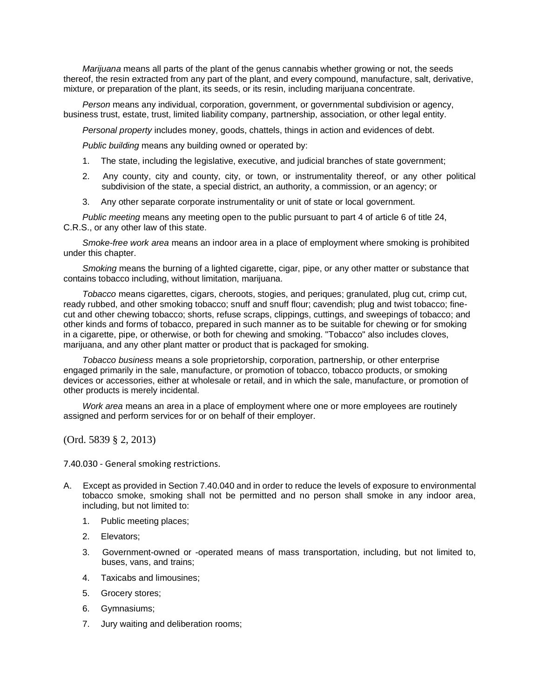*Marijuana* means all parts of the plant of the genus cannabis whether growing or not, the seeds thereof, the resin extracted from any part of the plant, and every compound, manufacture, salt, derivative, mixture, or preparation of the plant, its seeds, or its resin, including marijuana concentrate.

*Person* means any individual, corporation, government, or governmental subdivision or agency, business trust, estate, trust, limited liability company, partnership, association, or other legal entity.

*Personal property* includes money, goods, chattels, things in action and evidences of debt.

*Public building* means any building owned or operated by:

- 1. The state, including the legislative, executive, and judicial branches of state government;
- 2. Any county, city and county, city, or town, or instrumentality thereof, or any other political subdivision of the state, a special district, an authority, a commission, or an agency; or
- 3. Any other separate corporate instrumentality or unit of state or local government.

*Public meeting* means any meeting open to the public pursuant to part 4 of article 6 of title 24, C.R.S., or any other law of this state.

*Smoke-free work area* means an indoor area in a place of employment where smoking is prohibited under this chapter.

*Smoking* means the burning of a lighted cigarette, cigar, pipe, or any other matter or substance that contains tobacco including, without limitation, marijuana.

*Tobacco* means cigarettes, cigars, cheroots, stogies, and periques; granulated, plug cut, crimp cut, ready rubbed, and other smoking tobacco; snuff and snuff flour; cavendish; plug and twist tobacco; finecut and other chewing tobacco; shorts, refuse scraps, clippings, cuttings, and sweepings of tobacco; and other kinds and forms of tobacco, prepared in such manner as to be suitable for chewing or for smoking in a cigarette, pipe, or otherwise, or both for chewing and smoking. "Tobacco" also includes cloves, marijuana, and any other plant matter or product that is packaged for smoking.

*Tobacco business* means a sole proprietorship, corporation, partnership, or other enterprise engaged primarily in the sale, manufacture, or promotion of tobacco, tobacco products, or smoking devices or accessories, either at wholesale or retail, and in which the sale, manufacture, or promotion of other products is merely incidental.

*Work area* means an area in a place of employment where one or more employees are routinely assigned and perform services for or on behalf of their employer.

(Ord. 5839 § 2, 2013)

7.40.030 - General smoking restrictions.

- A. Except as provided in Section 7.40.040 and in order to reduce the levels of exposure to environmental tobacco smoke, smoking shall not be permitted and no person shall smoke in any indoor area, including, but not limited to:
	- 1. Public meeting places;
	- 2. Elevators;
	- 3. Government-owned or -operated means of mass transportation, including, but not limited to, buses, vans, and trains;
	- 4. Taxicabs and limousines;
	- 5. Grocery stores;
	- 6. Gymnasiums;
	- 7. Jury waiting and deliberation rooms;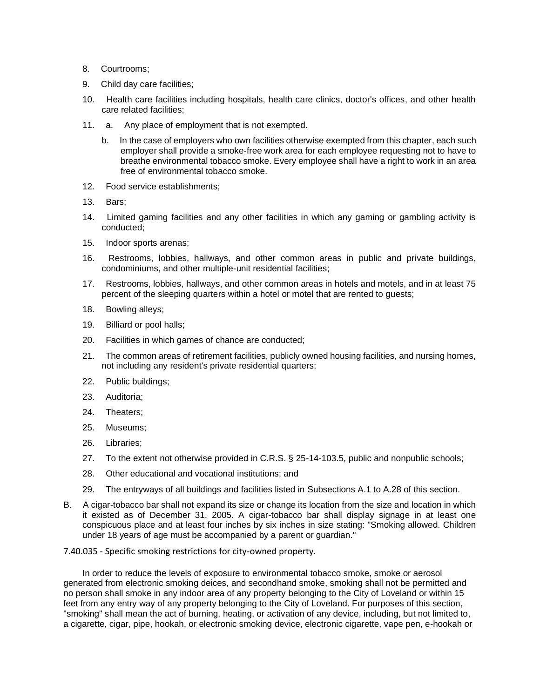- 8. Courtrooms;
- 9. Child day care facilities;
- 10. Health care facilities including hospitals, health care clinics, doctor's offices, and other health care related facilities;
- 11. a. Any place of employment that is not exempted.
	- b. In the case of employers who own facilities otherwise exempted from this chapter, each such employer shall provide a smoke-free work area for each employee requesting not to have to breathe environmental tobacco smoke. Every employee shall have a right to work in an area free of environmental tobacco smoke.
- 12. Food service establishments;
- 13. Bars;
- 14. Limited gaming facilities and any other facilities in which any gaming or gambling activity is conducted;
- 15. Indoor sports arenas;
- 16. Restrooms, lobbies, hallways, and other common areas in public and private buildings, condominiums, and other multiple-unit residential facilities;
- 17. Restrooms, lobbies, hallways, and other common areas in hotels and motels, and in at least 75 percent of the sleeping quarters within a hotel or motel that are rented to guests;
- 18. Bowling alleys;
- 19. Billiard or pool halls;
- 20. Facilities in which games of chance are conducted;
- 21. The common areas of retirement facilities, publicly owned housing facilities, and nursing homes, not including any resident's private residential quarters;
- 22. Public buildings;
- 23. Auditoria;
- 24. Theaters;
- 25. Museums;
- 26. Libraries;
- 27. To the extent not otherwise provided in C.R.S. § 25-14-103.5, public and nonpublic schools;
- 28. Other educational and vocational institutions; and
- 29. The entryways of all buildings and facilities listed in Subsections A.1 to A.28 of this section.
- B. A cigar-tobacco bar shall not expand its size or change its location from the size and location in which it existed as of December 31, 2005. A cigar-tobacco bar shall display signage in at least one conspicuous place and at least four inches by six inches in size stating: "Smoking allowed. Children under 18 years of age must be accompanied by a parent or guardian."

## 7.40.035 - Specific smoking restrictions for city-owned property.

In order to reduce the levels of exposure to environmental tobacco smoke, smoke or aerosol generated from electronic smoking deices, and secondhand smoke, smoking shall not be permitted and no person shall smoke in any indoor area of any property belonging to the City of Loveland or within 15 feet from any entry way of any property belonging to the City of Loveland. For purposes of this section, "smoking" shall mean the act of burning, heating, or activation of any device, including, but not limited to, a cigarette, cigar, pipe, hookah, or electronic smoking device, electronic cigarette, vape pen, e-hookah or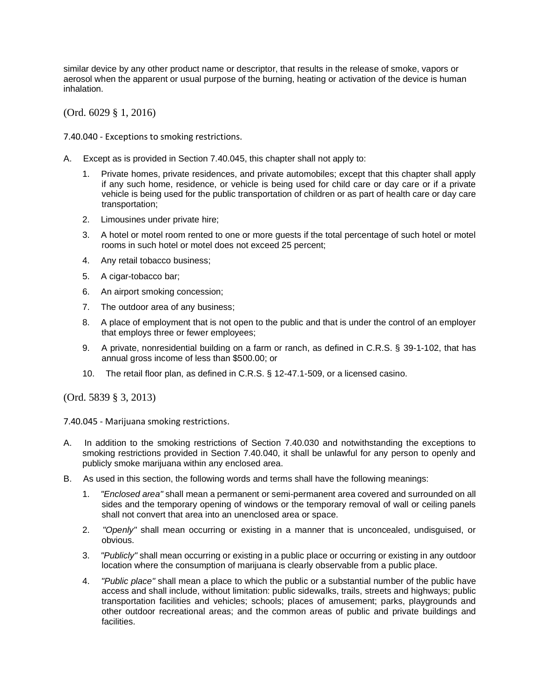similar device by any other product name or descriptor, that results in the release of smoke, vapors or aerosol when the apparent or usual purpose of the burning, heating or activation of the device is human inhalation.

(Ord. 6029 § 1, 2016)

7.40.040 - Exceptions to smoking restrictions.

- A. Except as is provided in Section 7.40.045, this chapter shall not apply to:
	- 1. Private homes, private residences, and private automobiles; except that this chapter shall apply if any such home, residence, or vehicle is being used for child care or day care or if a private vehicle is being used for the public transportation of children or as part of health care or day care transportation;
	- 2. Limousines under private hire;
	- 3. A hotel or motel room rented to one or more guests if the total percentage of such hotel or motel rooms in such hotel or motel does not exceed 25 percent;
	- 4. Any retail tobacco business;
	- 5. A cigar-tobacco bar;
	- 6. An airport smoking concession;
	- 7. The outdoor area of any business;
	- 8. A place of employment that is not open to the public and that is under the control of an employer that employs three or fewer employees;
	- 9. A private, nonresidential building on a farm or ranch, as defined in C.R.S. § 39-1-102, that has annual gross income of less than \$500.00; or
	- 10. The retail floor plan, as defined in C.R.S. § 12-47.1-509, or a licensed casino.

(Ord. 5839 § 3, 2013)

7.40.045 - Marijuana smoking restrictions.

- A. In addition to the smoking restrictions of Section 7.40.030 and notwithstanding the exceptions to smoking restrictions provided in Section 7.40.040, it shall be unlawful for any person to openly and publicly smoke marijuana within any enclosed area.
- B. As used in this section, the following words and terms shall have the following meanings:
	- 1. *"Enclosed area"* shall mean a permanent or semi-permanent area covered and surrounded on all sides and the temporary opening of windows or the temporary removal of wall or ceiling panels shall not convert that area into an unenclosed area or space.
	- 2. *"Openly"* shall mean occurring or existing in a manner that is unconcealed, undisguised, or obvious.
	- 3. *"Publicly"* shall mean occurring or existing in a public place or occurring or existing in any outdoor location where the consumption of marijuana is clearly observable from a public place.
	- 4. *"Public place"* shall mean a place to which the public or a substantial number of the public have access and shall include, without limitation: public sidewalks, trails, streets and highways; public transportation facilities and vehicles; schools; places of amusement; parks, playgrounds and other outdoor recreational areas; and the common areas of public and private buildings and facilities.